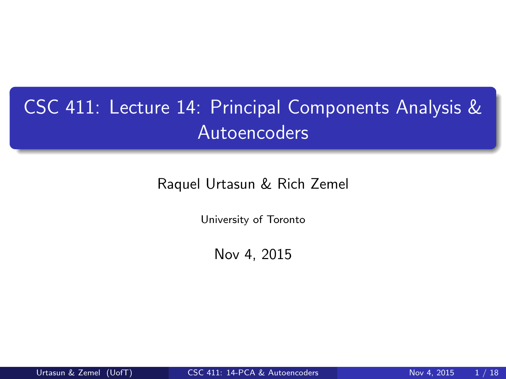# CSC 411: Lecture 14: Principal Components Analysis & Autoencoders

Raquel Urtasun & Rich Zemel

University of Toronto

<span id="page-0-0"></span>Nov 4, 2015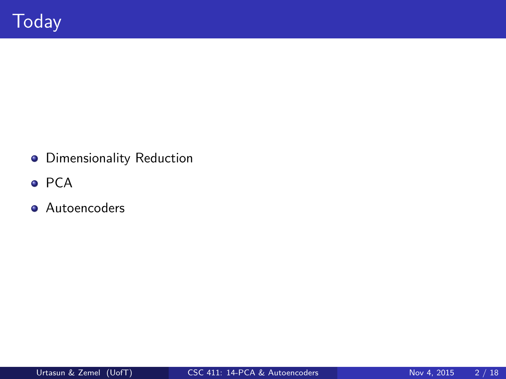- **o** Dimensionality Reduction
- $\bullet$  PCA
- **Autoencoders**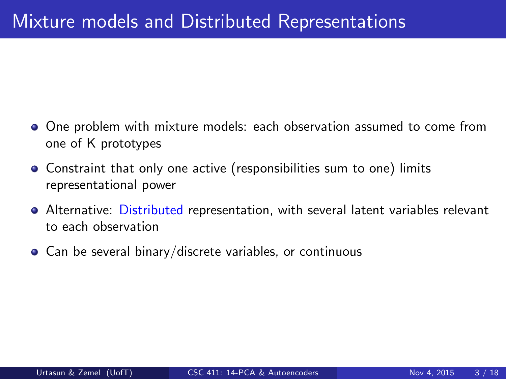- One problem with mixture models: each observation assumed to come from one of K prototypes
- Constraint that only one active (responsibilities sum to one) limits representational power
- Alternative: Distributed representation, with several latent variables relevant to each observation
- Can be several binary/discrete variables, or continuous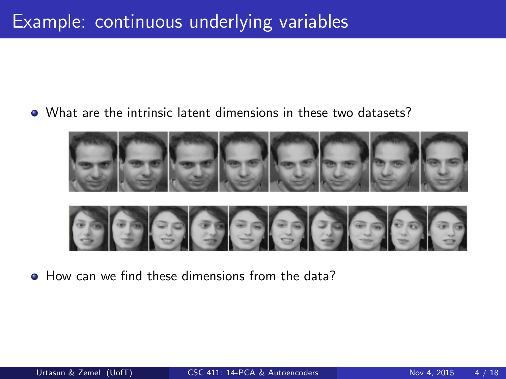#### What are the intrinsic latent dimensions in these two datasets?



• How can we find these dimensions from the data?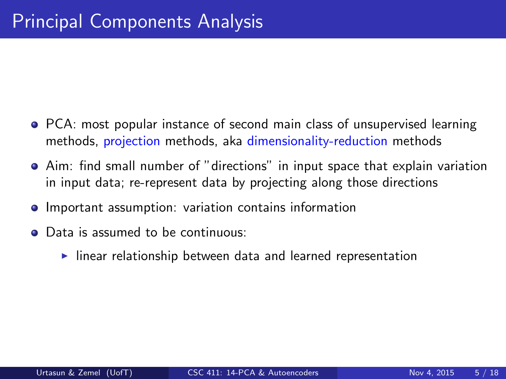- **PCA:** most popular instance of second main class of unsupervised learning methods, projection methods, aka dimensionality-reduction methods
- Aim: find small number of "directions" in input space that explain variation in input data; re-represent data by projecting along those directions
- **•** Important assumption: variation contains information
- Data is assumed to be continuous:
	- $\blacktriangleright$  linear relationship between data and learned representation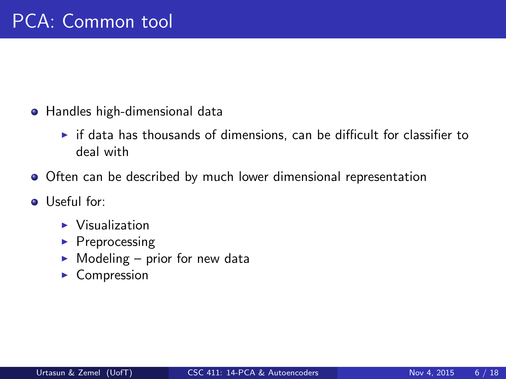- **•** Handles high-dimensional data
	- $\triangleright$  if data has thousands of dimensions, can be difficult for classifier to deal with
- Often can be described by much lower dimensional representation
- **O** Useful for:
	- $\blacktriangleright$  Visualization
	- $\blacktriangleright$  Preprocessing
	- $\blacktriangleright$  Modeling prior for new data
	- $\blacktriangleright$  Compression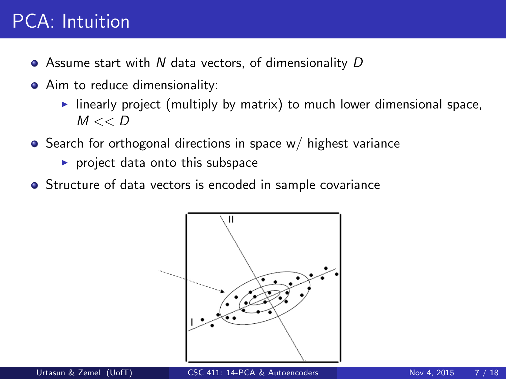# PCA: Intuition

- $\bullet$  Assume start with N data vectors, of dimensionality D
- Aim to reduce dimensionality:
	- $\blacktriangleright$  linearly project (multiply by matrix) to much lower dimensional space,  $M << D$
- $\bullet$  Search for orthogonal directions in space w/ highest variance
	- $\blacktriangleright$  project data onto this subspace
- **•** Structure of data vectors is encoded in sample covariance

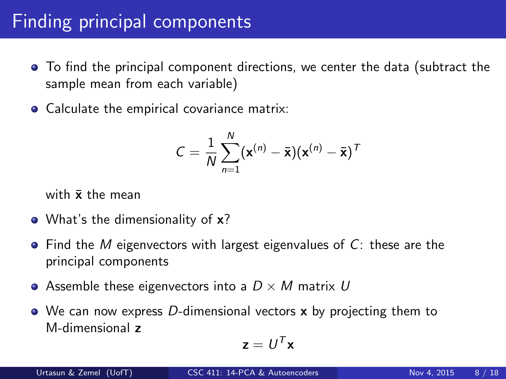# Finding principal components

- To find the principal component directions, we center the data (subtract the sample mean from each variable)
- Calculate the empirical covariance matrix:

$$
C = \frac{1}{N} \sum_{n=1}^{N} (\mathbf{x}^{(n)} - \bar{\mathbf{x}})(\mathbf{x}^{(n)} - \bar{\mathbf{x}})^T
$$

with  $\bar{x}$  the mean

- What's the dimensionality of **x**?
- $\bullet$  Find the M eigenvectors with largest eigenvalues of C: these are the principal components
- Assemble these eigenvectors into a  $D \times M$  matrix U
- $\bullet$  We can now express D-dimensional vectors x by projecting them to M-dimensional z

$$
\mathbf{z} = U^T \mathbf{x}
$$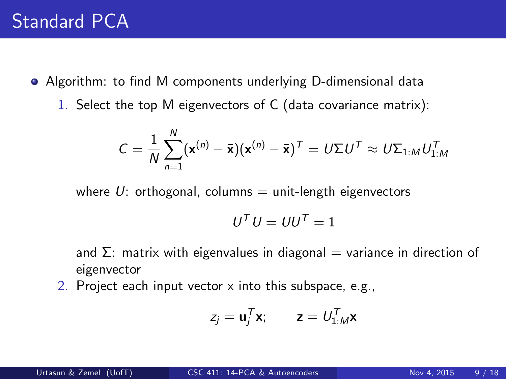- Algorithm: to find M components underlying D-dimensional data
	- 1. Select the top M eigenvectors of C (data covariance matrix):

$$
C = \frac{1}{N} \sum_{n=1}^{N} (\mathbf{x}^{(n)} - \overline{\mathbf{x}})(\mathbf{x}^{(n)} - \overline{\mathbf{x}})^{T} = U \Sigma U^{T} \approx U \Sigma_{1:M} U_{1:M}^{T}
$$

where  $U$ : orthogonal, columns  $=$  unit-length eigenvectors

$$
U^T U = U U^T = \mathbb{1}
$$

and  $\Sigma$ : matrix with eigenvalues in diagonal = variance in direction of eigenvector

2. Project each input vector x into this subspace, e.g.,

$$
z_j = \mathbf{u}_j^T \mathbf{x}; \qquad \mathbf{z} = U_{1:M}^T \mathbf{x}
$$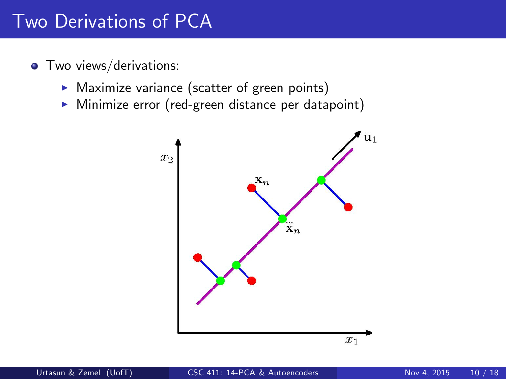### Two Derivations of PCA

- **•** Two views/derivations:
	- $\triangleright$  Maximize variance (scatter of green points)
	- $\triangleright$  Minimize error (red-green distance per datapoint)

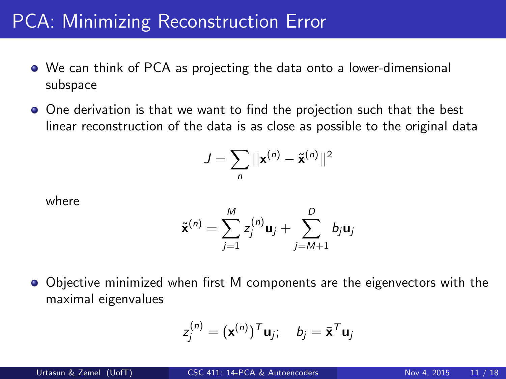### PCA: Minimizing Reconstruction Error

- We can think of PCA as projecting the data onto a lower-dimensional subspace
- One derivation is that we want to find the projection such that the best linear reconstruction of the data is as close as possible to the original data

$$
J = \sum_{n} ||\mathbf{x}^{(n)} - \tilde{\mathbf{x}}^{(n)}||^2
$$

where

$$
\tilde{\mathbf{x}}^{(n)} = \sum_{j=1}^{M} z_j^{(n)} \mathbf{u}_j + \sum_{j=M+1}^{D} b_j \mathbf{u}_j
$$

Objective minimized when first M components are the eigenvectors with the maximal eigenvalues

$$
z_j^{(n)} = (\mathbf{x}^{(n)})^T \mathbf{u}_j; \quad b_j = \bar{\mathbf{x}}^T \mathbf{u}_j
$$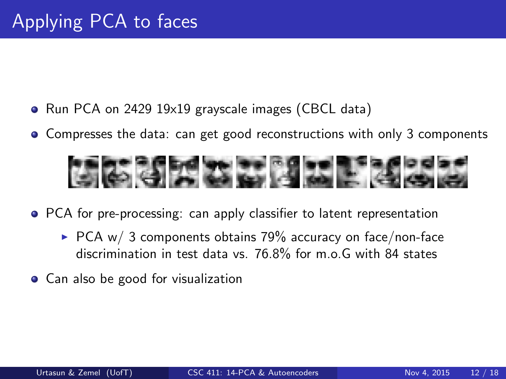- Run PCA on 2429 19x19 grayscale images (CBCL data)
- Compresses the data: can get good reconstructions with only 3 components



- PCA for pre-processing: can apply classifier to latent representation
	- $\triangleright$  PCA w/ 3 components obtains 79% accuracy on face/non-face discrimination in test data vs. 76.8% for m.o.G with 84 states
- Can also be good for visualization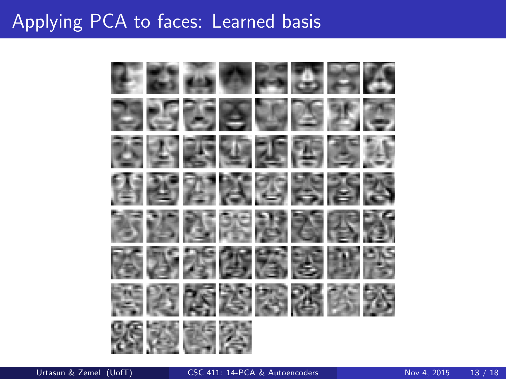# Applying PCA to faces: Learned basis

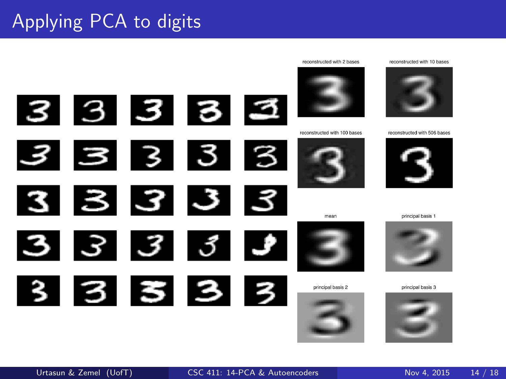# Applying PCA to digits

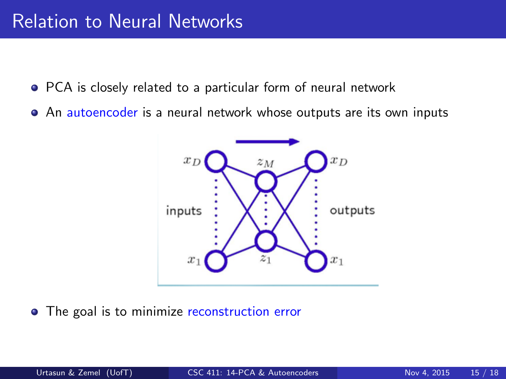#### Relation to Neural Networks

- PCA is closely related to a particular form of neural network
- An autoencoder is a neural network whose outputs are its own inputs



• The goal is to minimize reconstruction error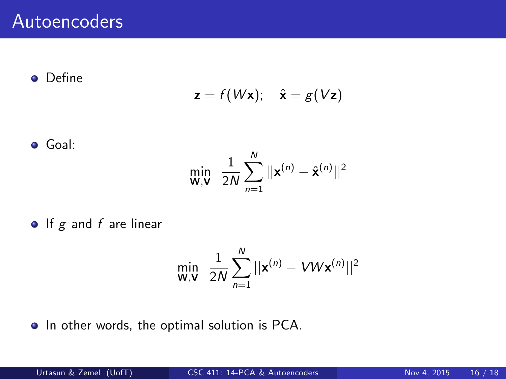**o** Define

$$
\mathbf{z} = f(W\mathbf{x}); \quad \hat{\mathbf{x}} = g(V\mathbf{z})
$$

$$
\bullet \ \mathsf{Goal:}
$$

$$
\min_{\mathbf{W},\mathbf{V}} \ \ \frac{1}{2N} \sum_{n=1}^{N} ||\mathbf{x}^{(n)} - \hat{\mathbf{x}}^{(n)}||^2
$$

 $\bullet$  If  $g$  and  $f$  are linear

$$
\min_{\mathbf{W},\mathbf{V}} \ \ \frac{1}{2N} \sum_{n=1}^{N} ||\mathbf{x}^{(n)} - VW\mathbf{x}^{(n)}||^2
$$

• In other words, the optimal solution is PCA.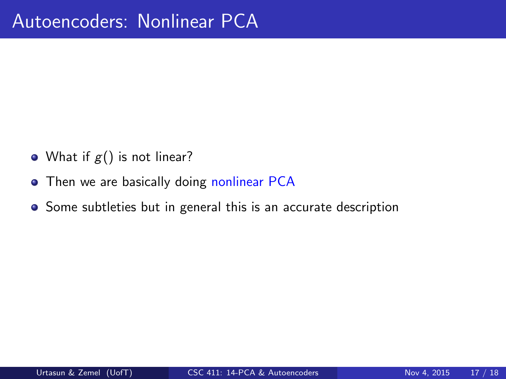- What if  $g()$  is not linear?
- Then we are basically doing nonlinear PCA
- Some subtleties but in general this is an accurate description